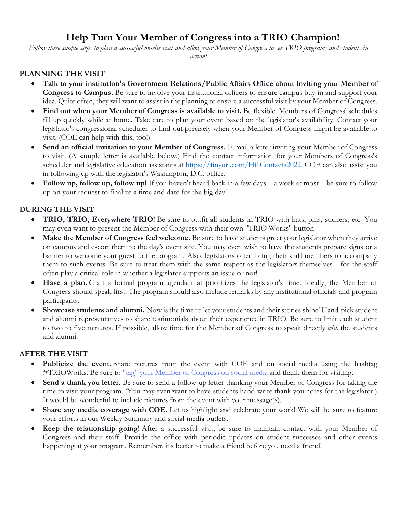# **Help Turn Your Member of Congress into a TRIO Champion!**

*Follow these simple steps to plan a successful on-site visit and allow your Member of Congress to see TRIO programs and students in action!*

## **PLANNING THE VISIT**

- **Talk to your institution's Government Relations/Public Affairs Office about inviting your Member of Congress to Campus.** Be sure to involve your institutional officers to ensure campus buy-in and support your idea. Quite often, they will want to assist in the planning to ensure a successful visit by your Member of Congress.
- **Find out when your Member of Congress is available to visit.** Be flexible. Members of Congress' schedules fill up quickly while at home. Take care to plan your event based on the legislator's availability. Contact your legislator's congressional scheduler to find out precisely when your Member of Congress might be available to visit. (COE can help with this, too!)
- **Send an official invitation to your Member of Congress.** E-mail a letter inviting your Member of Congress to visit. (A sample letter is available below.) Find the contact information for your Members of Congress's scheduler and legislative education assistants at [https://tinyurl.com/HillContacts2022.](https://tinyurl.com/HillContacts2022) COE can also assist you in following up with the legislator's Washington, D.C. office.
- **Follow up, follow up, follow up!** If you haven't heard back in a few days a week at most be sure to follow up on your request to finalize a time and date for the big day!

# **DURING THE VISIT**

- **TRIO, TRIO, Everywhere TRIO!** Be sure to outfit all students in TRIO with hats, pins, stickers, etc. You may even want to present the Member of Congress with their own "TRIO Works" button!
- **Make the Member of Congress feel welcome.** Be sure to have students greet your legislator when they arrive on campus and escort them to the day's event site. You may even wish to have the students prepare signs or a banner to welcome your guest to the program. Also, legislators often bring their staff members to accompany them to such events. Be sure to treat them with the same respect as the legislators themselves—for the staff often play a critical role in whether a legislator supports an issue or not!
- **Have a plan.** Craft a formal program agenda that prioritizes the legislator's time. Ideally, the Member of Congress should speak first. The program should also include remarks by any institutional officials and program participants.
- **Showcase students and alumni.** Now is the time to let your students and their stories shine! Hand-pick student and alumni representatives to share testimonials about their experience in TRIO. Be sure to limit each student to two to five minutes. If possible, allow time for the Member of Congress to speak directly *with* the students and alumni.

### **AFTER THE VISIT**

- Publicize the event. Share pictures from the event with COE and on social media using the hashtag #TRIOWorks. Be sure to ["tag" your Member of Congress on social media](https://docs.google.com/spreadsheets/d/1FW4enMxPLY8taCbt_3cgBar6ednEfDlx/edit#gid%3D1388107147) and thank them for visiting.
- **Send a thank you letter.** Be sure to send a follow-up letter thanking your Member of Congress for taking the time to visit your program. (You may even want to have students hand-write thank you notes for the legislator.) It would be wonderful to include pictures from the event with your message(s).
- **Share any media coverage with COE.** Let us highlight and celebrate your work! We will be sure to feature your efforts in our Weekly Summary and social media outlets.
- **Keep the relationship going!** After a successful visit, be sure to maintain contact with your Member of Congress and their staff. Provide the office with periodic updates on student successes and other events happening at your program. Remember, it's better to make a friend before you need a friend!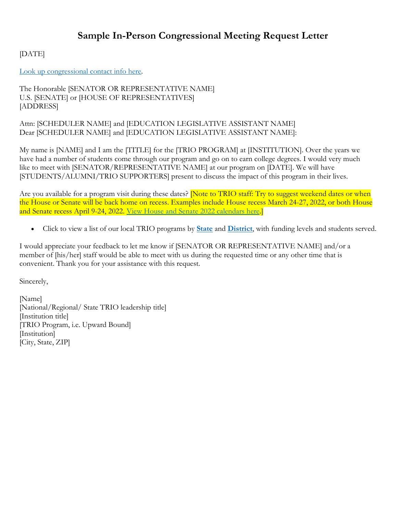# **Sample In-Person Congressional Meeting Request Letter**

[DATE]

[Look up congressional contact info here.](https://docs.google.com/spreadsheets/d/1FW4enMxPLY8taCbt_3cgBar6ednEfDlx/edit#gid=228884730)

The Honorable [SENATOR OR REPRESENTATIVE NAME] U.S. [SENATE] or [HOUSE OF REPRESENTATIVES] [ADDRESS]

Attn: [SCHEDULER NAME] and [EDUCATION LEGISLATIVE ASSISTANT NAME] Dear [SCHEDULER NAME] and [EDUCATION LEGISLATIVE ASSISTANT NAME]:

My name is [NAME] and I am the [TITLE] for the [TRIO PROGRAM] at [INSTITUTION]. Over the years we have had a number of students come through our program and go on to earn college degrees. I would very much like to meet with [SENATOR/REPRESENTATIVE NAME] at our program on [DATE]. We will have [STUDENTS/ALUMNI/TRIO SUPPORTERS] present to discuss the impact of this program in their lives.

Are you available for a program visit during these dates? Note to TRIO staff: Try to suggest weekend dates or when the House or Senate will be back home on recess. Examples include House recess March 24-27, 2022, or both House and Senate recess April 9-24, 2022. [View House and Senate 2022 calendars here.](https://content.rollcall.com/wp-content/uploads/2021/12/2022-CQRC-CongressionalCalendar.jpg?w=791)]

• Click to view a list of our local TRIO programs by **[State](https://www.coenet.org/files/bulletin_board-TRIO_Projects_by_State_FY_2021_020422.pdf)** and **[District](https://www.coenet.org/files/bulletin_board-TRIO_Projects_by_District_FY_2021_020422.pdf)**, with funding levels and students served.

I would appreciate your feedback to let me know if [SENATOR OR REPRESENTATIVE NAME] and/or a member of [his/her] staff would be able to meet with us during the requested time or any other time that is convenient. Thank you for your assistance with this request.

Sincerely,

[Name] [National/Regional/ State TRIO leadership title] [Institution title] [TRIO Program, i.e. Upward Bound] [Institution] [City, State, ZIP]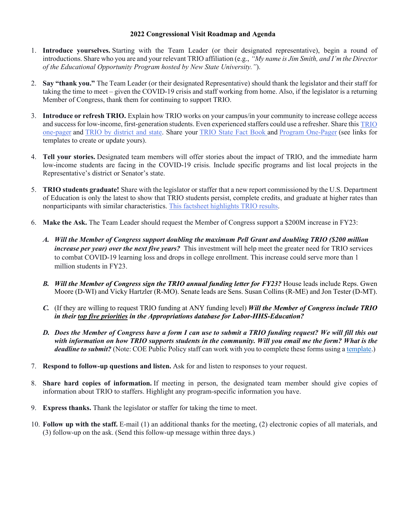#### **2022 Congressional Visit Roadmap and Agenda**

- 1. **Introduce yourselves.** Starting with the Team Leader (or their designated representative), begin a round of introductions. Share who you are and your relevant TRIO affiliation (e.g., *"My name is Jim Smith, and I'm the Director of the Educational Opportunity Program hosted by New State University."*).
- 2. **Say "thank you."** The Team Leader (or their designated Representative) should thank the legislator and their staff for taking the time to meet – given the COVID-19 crisis and staff working from home. Also, if the legislator is a returning Member of Congress, thank them for continuing to support TRIO.
- 3. **Introduce or refresh TRIO.** Explain how TRIO works on your campus/in your community to increase college access and success for low-income, first-generation students. Even experienced staffers could use a refresher. Share this [TRIO](https://drive.google.com/file/d/13ZNfc-LVTnqSAd8vBPjNRjwV14QyNiGp/view)  [one-pager](https://drive.google.com/file/d/13ZNfc-LVTnqSAd8vBPjNRjwV14QyNiGp/view) and [TRIO by district and state.](https://docs.google.com/spreadsheets/d/1SYAqNeaD-xyxx-yJELoG718WPQI2rd06p-9eNHArdLs/edit#gid=1797812222) Share your [TRIO State Fact Book](https://coethecouncil-my.sharepoint.com/:w:/g/personal/pubpol_intern2_coenet_org/EZU0oiUJnN5Bm8rwV2F_TwUBoFh81pQ9U0lGF8gxeKM6UA?e=OL7BDx) and [Program One-Pager](https://coenet.org/files/bulletin_board-Sample_Program_One-Pager_022517.pdf) (see links for templates to create or update yours).
- 4. **Tell your stories.** Designated team members will offer stories about the impact of TRIO, and the immediate harm low-income students are facing in the COVID-19 crisis. Include specific programs and list local projects in the Representative's district or Senator's state.
- 5. **TRIO students graduate!** Share with the legislator or staffer that a new report commissioned by the U.S. Department of Education is only the latest to show that TRIO students persist, complete credits, and graduate at higher rates than nonparticipants with similar characteristics. [This factsheet highlights TRIO results.](https://docs.google.com/document/d/11f9eyXlcFkan9dt3KSaEQonQ9CnSVrzl/edit)
- 6. **Make the Ask.** The Team Leader should request the Member of Congress support a \$200M increase in FY23:
	- *A. Will the Member of Congress support doubling the maximum Pell Grant and doubling TRIO (\$200 million increase per year) over the next five years?* This investment will help meet the greater need for TRIO services to combat COVID-19 learning loss and drops in college enrollment. This increase could serve more than 1 million students in FY23.
	- *B. Will the Member of Congress sign the TRIO annual funding letter for FY23?* House leads include Reps. Gwen Moore (D-WI) and Vicky Hartzler (R-MO). Senate leads are Sens. Susan Collins (R-ME) and Jon Tester (D-MT).
	- *C.* (If they are willing to request TRIO funding at ANY funding level) *Will the Member of Congress include TRIO in their top five priorities in the Appropriations database for Labor-HHS-Education?*
	- *D. Does the Member of Congress have a form I can use to submit a TRIO funding request? We will fill this out with information on how TRIO supports students in the community. Will you email me the form? What is the deadline to submit?* (Note: COE Public Policy staff can work with you to complete these forms using a [template.](https://docs.google.com/document/d/174ZnspwbjUp353uAQsjWq3y11fXFWVCch2iNZWNPfsg/edit))
- 7. **Respond to follow-up questions and listen.** Ask for and listen to responses to your request.
- 8. **Share hard copies of information.** If meeting in person, the designated team member should give copies of information about TRIO to staffers. Highlight any program-specific information you have.
- 9. **Express thanks.** Thank the legislator or staffer for taking the time to meet.
- 10. **Follow up with the staff.** E-mail (1) an additional thanks for the meeting, (2) electronic copies of all materials, and (3) follow-up on the ask. (Send this follow-up message within three days.)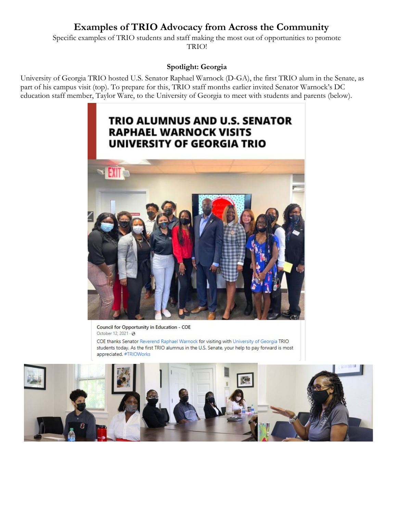# **Examples of TRIO Advocacy from Across the Community**

Specific examples of TRIO students and staff making the most out of opportunities to promote TRIO!

### **Spotlight: Georgia**

University of Georgia TRIO hosted U.S. Senator Raphael Warnock (D-GA), the first TRIO alum in the Senate, as part of his campus visit (top). To prepare for this, TRIO staff months earlier invited Senator Warnock's DC education staff member, Taylor Ware, to the University of Georgia to meet with students and parents (below).



Council for Opportunity in Education - COE October 12, 2021 · @

COE thanks Senator Reverend Raphael Warnock for visiting with University of Georgia TRIO students today. As the first TRIO alumnus in the U.S. Senate, your help to pay forward is most appreciated. #TRIOWorks

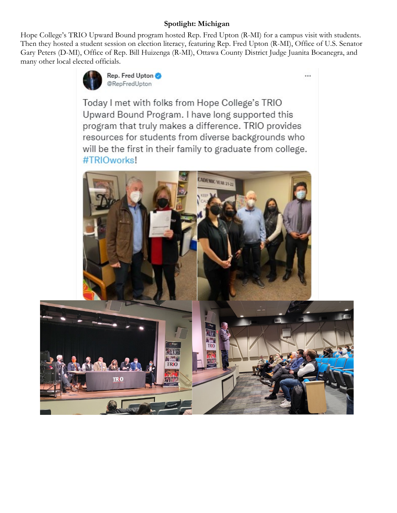# **Spotlight: Michigan**

Hope College's TRIO Upward Bound program hosted Rep. Fred Upton (R-MI) for a campus visit with students. Then they hosted a student session on election literacy, featuring Rep. Fred Upton (R-MI), Office of U.S. Senator Gary Peters (D-MI), Office of Rep. Bill Huizenga (R-MI), Ottawa County District Judge Juanita Bocanegra, and many other local elected officials.

...



Today I met with folks from Hope College's TRIO Upward Bound Program. I have long supported this program that truly makes a difference. TRIO provides resources for students from diverse backgrounds who will be the first in their family to graduate from college. #TRIOworks!

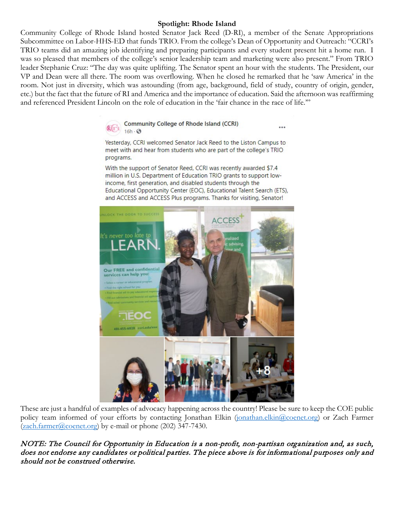## **Spotlight: Rhode Island**

Community College of Rhode Island hosted Senator Jack Reed (D-RI), a member of the Senate Appropriations Subcommittee on Labor-HHS-ED that funds TRIO. From the college's Dean of Opportunity and Outreach: "CCRI's TRIO teams did an amazing job identifying and preparing participants and every student present hit a home run. I was so pleased that members of the college's senior leadership team and marketing were also present." From TRIO leader Stephanie Cruz: "The day was quite uplifting. The Senator spent an hour with the students. The President, our VP and Dean were all there. The room was overflowing. When he closed he remarked that he 'saw America' in the room. Not just in diversity, which was astounding (from age, background, field of study, country of origin, gender, etc.) but the fact that the future of RI and America and the importance of education. Said the afternoon was reaffirming and referenced President Lincoln on the role of education in the 'fair chance in the race of life.'"



Yesterday, CCRI welcomed Senator Jack Reed to the Liston Campus to meet with and hear from students who are part of the college's TRIO programs.

...

With the support of Senator Reed, CCRI was recently awarded \$7.4 million in U.S. Department of Education TRIO grants to support lowincome, first generation, and disabled students through the Educational Opportunity Center (EOC), Educational Talent Search (ETS), and ACCESS and ACCESS Plus programs. Thanks for visiting, Senator!



These are just a handful of examples of advocacy happening across the country! Please be sure to keep the COE public policy team informed of your efforts by contacting Jonathan Elkin [\(jonathan.elkin@coenet.org\)](mailto:jonathan.elkin@coenet.org) or Zach Farmer  $(2ach.farmer@coenet.org)$  by e-mail or phone (202) 347-7430.

NOTE: The Council for Opportunity in Education is a non-profit, non-partisan organization and, as such, does not endorse any candidates or political parties. The piece above is for informational purposes only and should not be construed otherwise.